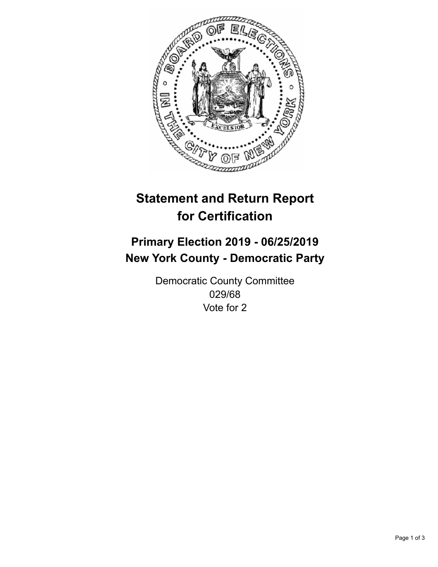

## **Statement and Return Report for Certification**

## **Primary Election 2019 - 06/25/2019 New York County - Democratic Party**

Democratic County Committee 029/68 Vote for 2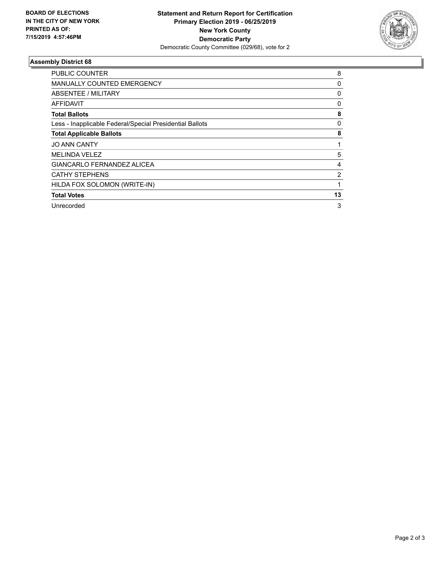

## **Assembly District 68**

| <b>PUBLIC COUNTER</b>                                    | 8  |
|----------------------------------------------------------|----|
| MANUALLY COUNTED EMERGENCY                               | 0  |
| ABSENTEE / MILITARY                                      | 0  |
| AFFIDAVIT                                                | 0  |
| <b>Total Ballots</b>                                     | 8  |
| Less - Inapplicable Federal/Special Presidential Ballots | 0  |
| <b>Total Applicable Ballots</b>                          | 8  |
| <b>JO ANN CANTY</b>                                      | 1  |
| <b>MELINDA VELEZ</b>                                     | 5  |
| GIANCARLO FERNANDEZ ALICEA                               | 4  |
| <b>CATHY STEPHENS</b>                                    | 2  |
| HILDA FOX SOLOMON (WRITE-IN)                             |    |
| <b>Total Votes</b>                                       | 13 |
| Unrecorded                                               | 3  |